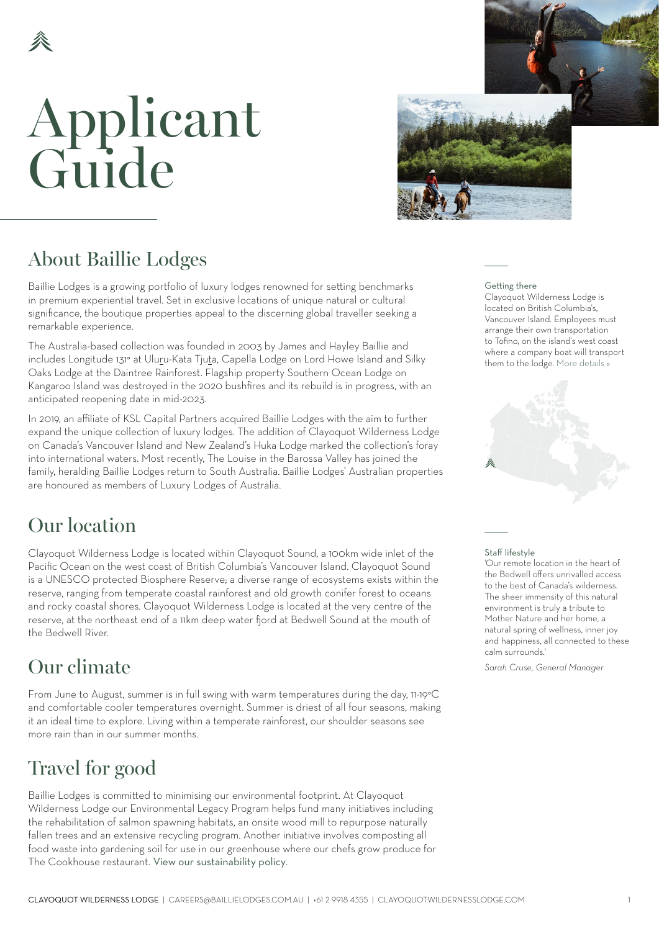## Applicant Guide



### About Baillie Lodges

Baillie Lodges is a growing portfolio of luxury lodges renowned for setting benchmarks in premium experiential travel. Set in exclusive locations of unique natural or cultural significance, the boutique properties appeal to the discerning global traveller seeking a remarkable experience.

The Australia-based collection was founded in 2003 by James and Hayley Baillie and includes Longitude 131° at Uluru-Kata Tjuta, Capella Lodge on Lord Howe Island and Silky Oaks Lodge at the Daintree Rainforest. Flagship property Southern Ocean Lodge on Kangaroo Island was destroyed in the 2020 bushfires and its rebuild is in progress, with an anticipated reopening date in mid-2023.

In 2019, an affiliate of KSL Capital Partners acquired Baillie Lodges with the aim to further expand the unique collection of luxury lodges. The addition of Clayoquot Wilderness Lodge on Canada's Vancouver Island and New Zealand's Huka Lodge marked the collection's foray into international waters. Most recently, The Louise in the Barossa Valley has joined the family, heralding Baillie Lodges return to South Australia. Baillie Lodges' Australian properties are honoured as members of Luxury Lodges of Australia.

### Our location

Clayoquot Wilderness Lodge is located within Clayoquot Sound, a 100km wide inlet of the Pacific Ocean on the west coast of British Columbia's Vancouver Island. Clayoquot Sound is a UNESCO protected Biosphere Reserve; a diverse range of ecosystems exists within the reserve, ranging from temperate coastal rainforest and old growth conifer forest to oceans and rocky coastal shores. Clayoquot Wilderness Lodge is located at the very centre of the reserve, at the northeast end of a 11km deep water fjord at Bedwell Sound at the mouth of the Bedwell River.

### Our climate *Sarah Cruse, General Manager*

From June to August, summer is in full swing with warm temperatures during the day, 11-19°C and comfortable cooler temperatures overnight. Summer is driest of all four seasons, making it an ideal time to explore. Living within a temperate rainforest, our shoulder seasons see more rain than in our summer months.

### Travel for good

Baillie Lodges is committed to minimising our environmental footprint. At Clayoquot Wilderness Lodge our Environmental Legacy Program helps fund many initiatives including the rehabilitation of salmon spawning habitats, an onsite wood mill to repurpose naturally fallen trees and an extensive recycling program. Another initiative involves composting all food waste into gardening soil for use in our greenhouse where our chefs grow produce for The Cookhouse restaurant. [View our sustainability policy](https://clayoquotwildernesslodge.com/lodge/#environment).

### Getting there

Clayoquot Wilderness Lodge is located on British Columbia's, Vancouver Island. Employees must arrange their own transportation to Tofino, on the island's west coast where a company boat will transport them to the lodge. [More details »](#page-4-0)



#### Staff lifestyle

'Our remote location in the heart of the Bedwell offers unrivalled access to the best of Canada's wilderness. The sheer immensity of this natural environment is truly a tribute to Mother Nature and her home, a natural spring of wellness, inner joy and happiness, all connected to these calm surrounds.'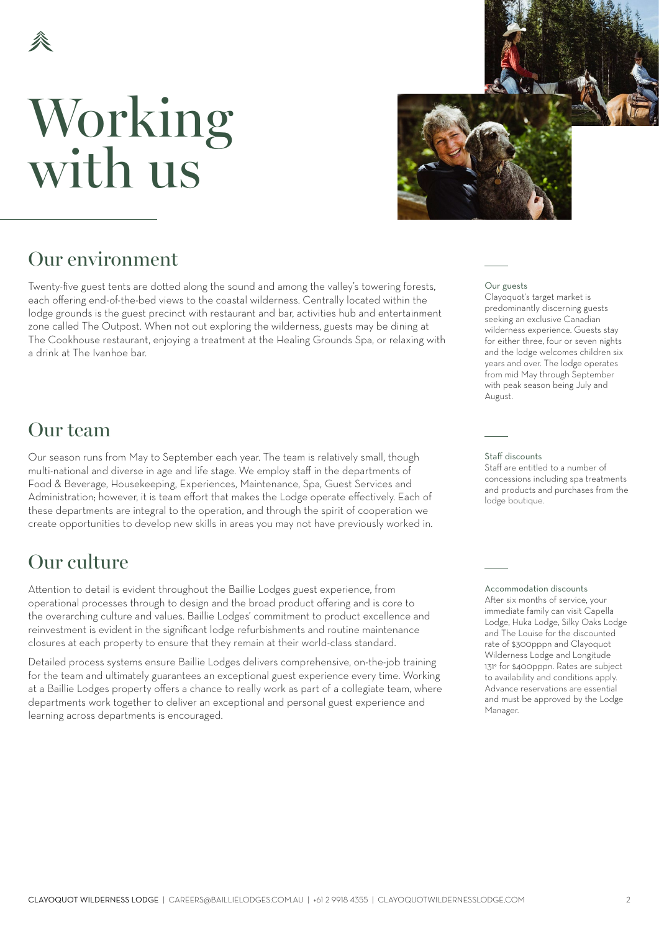## Working with us



### Our environment

Twenty-five guest tents are dotted along the sound and among the valley's towering forests, each offering end-of-the-bed views to the coastal wilderness. Centrally located within the lodge grounds is the guest precinct with restaurant and bar, activities hub and entertainment zone called The Outpost. When not out exploring the wilderness, guests may be dining at The Cookhouse restaurant, enjoying a treatment at the Healing Grounds Spa, or relaxing with a drink at The Ivanhoe bar.

### Our team

Our season runs from May to September each year. The team is relatively small, though multi-national and diverse in age and life stage. We employ staff in the departments of Food & Beverage, Housekeeping, Experiences, Maintenance, Spa, Guest Services and Administration; however, it is team effort that makes the Lodge operate effectively. Each of these departments are integral to the operation, and through the spirit of cooperation we create opportunities to develop new skills in areas you may not have previously worked in.

### Our culture

Attention to detail is evident throughout the Baillie Lodges guest experience, from operational processes through to design and the broad product offering and is core to the overarching culture and values. Baillie Lodges' commitment to product excellence and reinvestment is evident in the significant lodge refurbishments and routine maintenance closures at each property to ensure that they remain at their world-class standard.

Detailed process systems ensure Baillie Lodges delivers comprehensive, on-the-job training for the team and ultimately guarantees an exceptional guest experience every time. Working at a Baillie Lodges property offers a chance to really work as part of a collegiate team, where departments work together to deliver an exceptional and personal guest experience and learning across departments is encouraged.

#### Our guests

Clayoquot's target market is predominantly discerning guests seeking an exclusive Canadian wilderness experience. Guests stay for either three, four or seven nights and the lodge welcomes children six years and over. The lodge operates from mid May through September with peak season being July and August.

#### Staff discounts

Staff are entitled to a number of concessions including spa treatments and products and purchases from the lodge boutique.

Accommodation discounts After six months of service, your immediate family can visit Capella Lodge, Huka Lodge, Silky Oaks Lodge and The Louise for the discounted rate of \$300pppn and Clayoquot Wilderness Lodge and Longitude 131° for \$400pppn. Rates are subject to availability and conditions apply. Advance reservations are essential and must be approved by the Lodge Manager.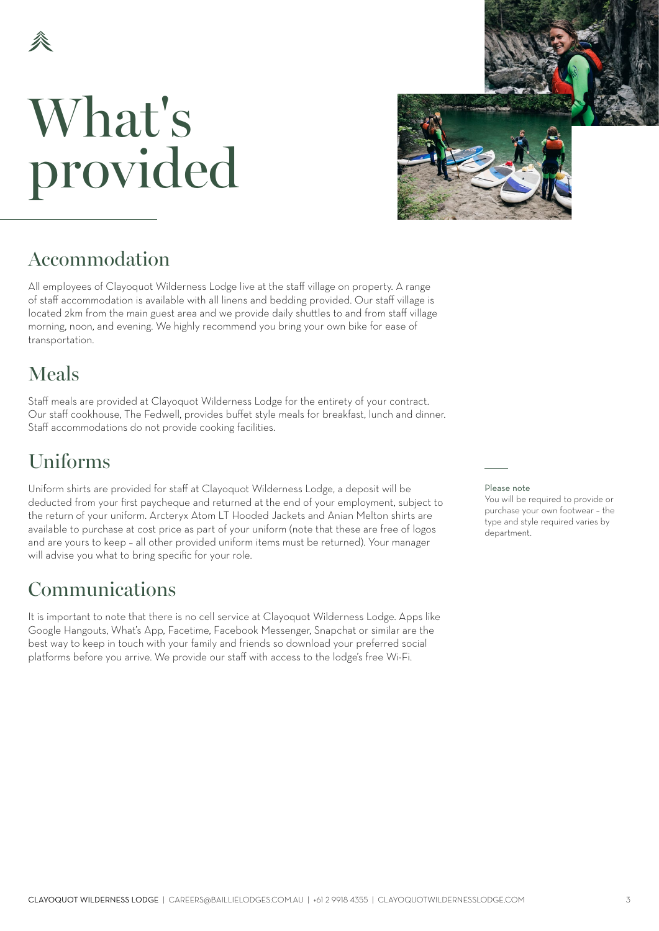# What's provided



### Accommodation

All employees of Clayoquot Wilderness Lodge live at the staff village on property. A range of staff accommodation is available with all linens and bedding provided. Our staff village is located 2km from the main guest area and we provide daily shuttles to and from staff village morning, noon, and evening. We highly recommend you bring your own bike for ease of transportation.

## Meals

Staff meals are provided at Clayoquot Wilderness Lodge for the entirety of your contract. Our staff cookhouse, The Fedwell, provides buffet style meals for breakfast, lunch and dinner. Staff accommodations do not provide cooking facilities.

### Uniforms

Uniform shirts are provided for staff at Clayoquot Wilderness Lodge, a deposit will be deducted from your first paycheque and returned at the end of your employment, subject to the return of your uniform. Arcteryx Atom LT Hooded Jackets and Anian Melton shirts are available to purchase at cost price as part of your uniform (note that these are free of logos and are yours to keep – all other provided uniform items must be returned). Your manager will advise you what to bring specific for your role.

### Communications

It is important to note that there is no cell service at Clayoquot Wilderness Lodge. Apps like Google Hangouts, What's App, Facetime, Facebook Messenger, Snapchat or similar are the best way to keep in touch with your family and friends so download your preferred social platforms before you arrive. We provide our staff with access to the lodge's free Wi-Fi.

### Please note

You will be required to provide or purchase your own footwear – the type and style required varies by department.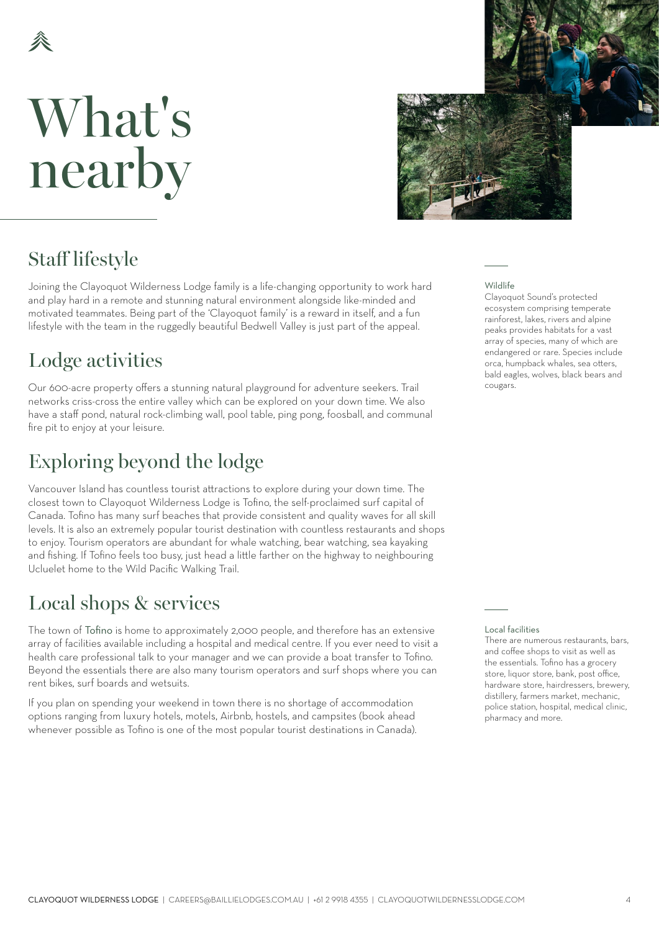## What's nearby



### Staff lifestyle

Joining the Clayoquot Wilderness Lodge family is a life-changing opportunity to work hard and play hard in a remote and stunning natural environment alongside like-minded and motivated teammates. Being part of the 'Clayoquot family' is a reward in itself, and a fun lifestyle with the team in the ruggedly beautiful Bedwell Valley is just part of the appeal.

### Lodge activities

Our 600-acre property offers a stunning natural playground for adventure seekers. Trail networks criss-cross the entire valley which can be explored on your down time. We also have a staff pond, natural rock-climbing wall, pool table, ping pong, foosball, and communal fire pit to enjoy at your leisure.

## Exploring beyond the lodge

Vancouver Island has countless tourist attractions to explore during your down time. The closest town to Clayoquot Wilderness Lodge is Tofino, the self-proclaimed surf capital of Canada. Tofino has many surf beaches that provide consistent and quality waves for all skill levels. It is also an extremely popular tourist destination with countless restaurants and shops to enjoy. Tourism operators are abundant for whale watching, bear watching, sea kayaking and fishing. If Tofino feels too busy, just head a little farther on the highway to neighbouring Ucluelet home to the Wild Pacific Walking Trail.

### Local shops & services

The town of [Tofino](https://tourismtofino.com/) is home to approximately 2,000 people, and therefore has an extensive array of facilities available including a hospital and medical centre. If you ever need to visit a health care professional talk to your manager and we can provide a boat transfer to Tofino. Beyond the essentials there are also many tourism operators and surf shops where you can rent bikes, surf boards and wetsuits.

If you plan on spending your weekend in town there is no shortage of accommodation options ranging from luxury hotels, motels, Airbnb, hostels, and campsites (book ahead whenever possible as Tofino is one of the most popular tourist destinations in Canada). Wildlife

Clayoquot Sound's protected ecosystem comprising temperate rainforest, lakes, rivers and alpine peaks provides habitats for a vast array of species, many of which are endangered or rare. Species include orca, humpback whales, sea otters, bald eagles, wolves, black bears and cougars.

Local facilities

There are numerous restaurants, hars, and coffee shops to visit as well as the essentials. Tofino has a grocery store, liquor store, bank, post office, hardware store, hairdressers, brewery, distillery, farmers market, mechanic, police station, hospital, medical clinic, pharmacy and more.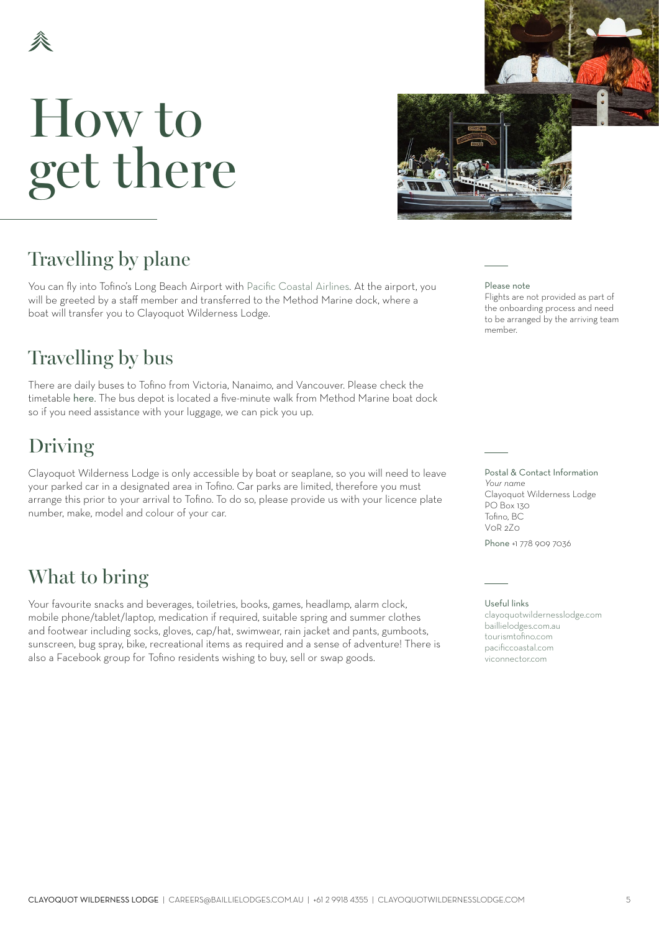# <span id="page-4-0"></span>How to get there



member.

## Travelling by plane

You can fly into Tofino's Long Beach Airport with [Pacific Coastal Airlines.](https://book.pacificcoastal.com/) At the airport, you will be greeted by a staff member and transferred to the Method Marine dock, where a boat will transfer you to Clayoquot Wilderness Lodge.

### Travelling by bus

There are daily buses to Tofino from Victoria, Nanaimo, and Vancouver. Please check the timetable [here](https://viconnector.com/). The bus depot is located a five-minute walk from Method Marine boat dock so if you need assistance with your luggage, we can pick you up.

## Driving

Clayoquot Wilderness Lodge is only accessible by boat or seaplane, so you will need to leave your parked car in a designated area in Tofino. Car parks are limited, therefore you must arrange this prior to your arrival to Tofino. To do so, please provide us with your licence plate number, make, model and colour of your car.

## What to bring

Your favourite snacks and beverages, toiletries, books, games, headlamp, alarm clock, mobile phone/tablet/laptop, medication if required, suitable spring and summer clothes and footwear including socks, gloves, cap/hat, swimwear, rain jacket and pants, gumboots, sunscreen, bug spray, bike, recreational items as required and a sense of adventure! There is also a Facebook group for Tofino residents wishing to buy, sell or swap goods.

Please note Flights are not provided as part of the onboarding process and need to be arranged by the arriving team

Postal & Contact Information *Your name* Clayoquot Wilderness Lodge PO Box 130 Tofino, BC V0R 2Z0

Phone +1 778 909 7036

### Useful links

[clayoquotwildernesslodge.com](http://clayoquotwildernesslodge.com) [baillielodges.com.au](http://baillielodges.com.au) [tourismtofino.com](http://tourismtofino.com) [pacificcoastal.com](https://www.pacificcoastal.com/) [viconnector.com](http://viconnector.com)